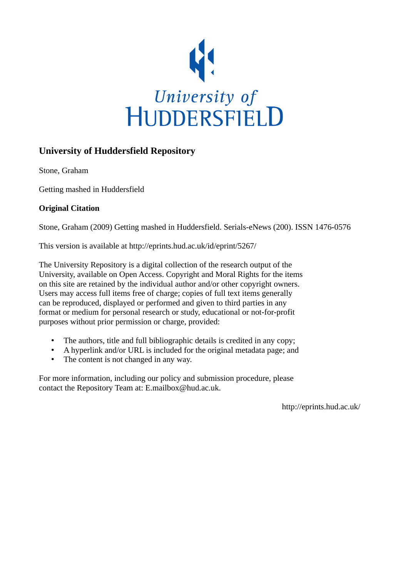

## **University of Huddersfield Repository**

Stone, Graham

Getting mashed in Huddersfield

## **Original Citation**

Stone, Graham (2009) Getting mashed in Huddersfield. Serials-eNews (200). ISSN 1476-0576

This version is available at http://eprints.hud.ac.uk/id/eprint/5267/

The University Repository is a digital collection of the research output of the University, available on Open Access. Copyright and Moral Rights for the items on this site are retained by the individual author and/or other copyright owners. Users may access full items free of charge; copies of full text items generally can be reproduced, displayed or performed and given to third parties in any format or medium for personal research or study, educational or not-for-profit purposes without prior permission or charge, provided:

- The authors, title and full bibliographic details is credited in any copy;
- A hyperlink and/or URL is included for the original metadata page; and
- The content is not changed in any way.

For more information, including our policy and submission procedure, please contact the Repository Team at: E.mailbox@hud.ac.uk.

http://eprints.hud.ac.uk/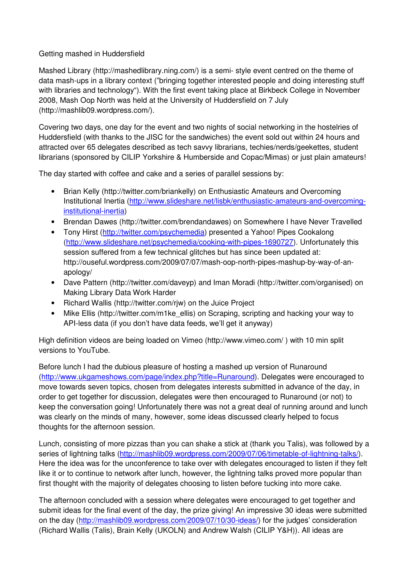Getting mashed in Huddersfield

Mashed Library (http://mashedlibrary.ning.com/) is a semi- style event centred on the theme of data mash-ups in a library context ("bringing together interested people and doing interesting stuff with libraries and technology"). With the first event taking place at Birkbeck College in November 2008, Mash Oop North was held at the University of Huddersfield on 7 July (http://mashlib09.wordpress.com/).

Covering two days, one day for the event and two nights of social networking in the hostelries of Huddersfield (with thanks to the JISC for the sandwiches) the event sold out within 24 hours and attracted over 65 delegates described as tech savvy librarians, techies/nerds/geekettes, student librarians (sponsored by CILIP Yorkshire & Humberside and Copac/Mimas) or just plain amateurs!

The day started with coffee and cake and a series of parallel sessions by:

- Brian Kelly (http://twitter.com/briankelly) on Enthusiastic Amateurs and Overcoming Institutional Inertia (http://www.slideshare.net/lisbk/enthusiastic-amateurs-and-overcominginstitutional-inertia)
- Brendan Dawes (http://twitter.com/brendandawes) on Somewhere I have Never Travelled
- Tony Hirst (http://twitter.com/psychemedia) presented a Yahoo! Pipes Cookalong (http://www.slideshare.net/psychemedia/cooking-with-pipes-1690727). Unfortunately this session suffered from a few technical glitches but has since been updated at: http://ouseful.wordpress.com/2009/07/07/mash-oop-north-pipes-mashup-by-way-of-anapology/
- Dave Pattern (http://twitter.com/daveyp) and Iman Moradi (http://twitter.com/organised) on Making Library Data Work Harder
- Richard Wallis (http://twitter.com/rjw) on the Juice Project
- Mike Ellis (http://twitter.com/m1ke ellis) on Scraping, scripting and hacking your way to API-less data (if you don't have data feeds, we'll get it anyway)

High definition videos are being loaded on Vimeo (http://www.vimeo.com/ ) with 10 min split versions to YouTube.

Before lunch I had the dubious pleasure of hosting a mashed up version of Runaround (http://www.ukgameshows.com/page/index.php?title=Runaround). Delegates were encouraged to move towards seven topics, chosen from delegates interests submitted in advance of the day, in order to get together for discussion, delegates were then encouraged to Runaround (or not) to keep the conversation going! Unfortunately there was not a great deal of running around and lunch was clearly on the minds of many, however, some ideas discussed clearly helped to focus thoughts for the afternoon session.

Lunch, consisting of more pizzas than you can shake a stick at (thank you Talis), was followed by a series of lightning talks (http://mashlib09.wordpress.com/2009/07/06/timetable-of-lightning-talks/). Here the idea was for the unconference to take over with delegates encouraged to listen if they felt like it or to continue to network after lunch, however, the lightning talks proved more popular than first thought with the majority of delegates choosing to listen before tucking into more cake.

The afternoon concluded with a session where delegates were encouraged to get together and submit ideas for the final event of the day, the prize giving! An impressive 30 ideas were submitted on the day (http://mashlib09.wordpress.com/2009/07/10/30-ideas/) for the judges' consideration (Richard Wallis (Talis), Brain Kelly (UKOLN) and Andrew Walsh (CILIP Y&H)). All ideas are